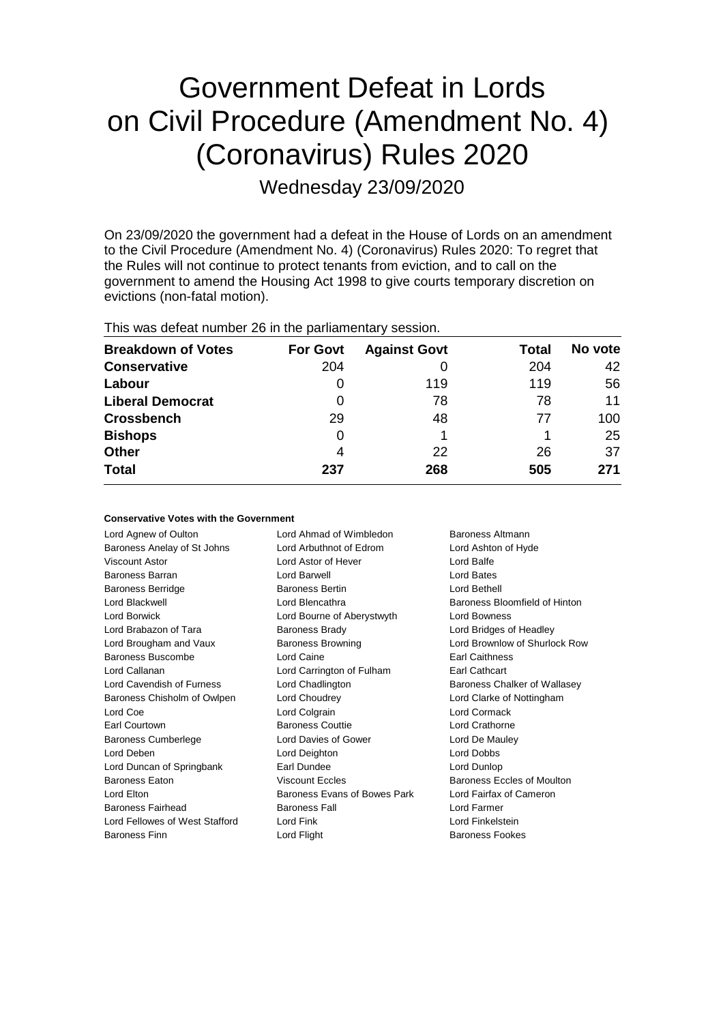# Government Defeat in Lords on Civil Procedure (Amendment No. 4) (Coronavirus) Rules 2020

Wednesday 23/09/2020

On 23/09/2020 the government had a defeat in the House of Lords on an amendment to the Civil Procedure (Amendment No. 4) (Coronavirus) Rules 2020: To regret that the Rules will not continue to protect tenants from eviction, and to call on the government to amend the Housing Act 1998 to give courts temporary discretion on evictions (non-fatal motion).

| This was defeat number 26 in the parliamentary session. |  |  |  |  |
|---------------------------------------------------------|--|--|--|--|
|---------------------------------------------------------|--|--|--|--|

| <b>Breakdown of Votes</b> | <b>For Govt</b> | <b>Against Govt</b> | Total | No vote |
|---------------------------|-----------------|---------------------|-------|---------|
| <b>Conservative</b>       | 204             |                     | 204   | 42      |
| Labour                    | 0               | 119                 | 119   | 56      |
| <b>Liberal Democrat</b>   | 0               | 78                  | 78    | 11      |
| <b>Crossbench</b>         | 29              | 48                  | 77    | 100     |
| <b>Bishops</b>            | 0               |                     |       | 25      |
| <b>Other</b>              | 4               | 22                  | 26    | 37      |
| <b>Total</b>              | 237             | 268                 | 505   | 271     |

| <b>Conservative Votes with the Government</b> |  |  |  |  |  |
|-----------------------------------------------|--|--|--|--|--|
|-----------------------------------------------|--|--|--|--|--|

| Lord Agnew of Oulton           | Lord Ahmad of Wimbledon      | Baroness Altmann              |
|--------------------------------|------------------------------|-------------------------------|
| Baroness Anelay of St Johns    | Lord Arbuthnot of Edrom      | Lord Ashton of Hyde           |
| Viscount Astor                 | Lord Astor of Hever          | Lord Balfe                    |
| <b>Baroness Barran</b>         | Lord Barwell                 | Lord Bates                    |
| <b>Baroness Berridge</b>       | <b>Baroness Bertin</b>       | Lord Bethell                  |
| Lord Blackwell                 | Lord Blencathra              | Baroness Bloomfield of Hinton |
| Lord Borwick                   | Lord Bourne of Aberystwyth   | <b>Lord Bowness</b>           |
| Lord Brabazon of Tara          | <b>Baroness Brady</b>        | Lord Bridges of Headley       |
| Lord Brougham and Vaux         | <b>Baroness Browning</b>     | Lord Brownlow of Shurlock Row |
| Baroness Buscombe              | Lord Caine                   | <b>Earl Caithness</b>         |
| Lord Callanan                  | Lord Carrington of Fulham    | Earl Cathcart                 |
| Lord Cavendish of Furness      | Lord Chadlington             | Baroness Chalker of Wallasey  |
| Baroness Chisholm of Owlpen    | Lord Choudrey                | Lord Clarke of Nottingham     |
| Lord Coe                       | Lord Colgrain                | Lord Cormack                  |
| Earl Courtown                  | <b>Baroness Couttie</b>      | Lord Crathorne                |
| <b>Baroness Cumberlege</b>     | Lord Davies of Gower         | Lord De Mauley                |
| Lord Deben                     | Lord Deighton                | Lord Dobbs                    |
| Lord Duncan of Springbank      | Earl Dundee                  | Lord Dunlop                   |
| <b>Baroness Eaton</b>          | <b>Viscount Eccles</b>       | Baroness Eccles of Moulton    |
| Lord Elton                     | Baroness Evans of Bowes Park | Lord Fairfax of Cameron       |
| Baroness Fairhead              | <b>Baroness Fall</b>         | Lord Farmer                   |
| Lord Fellowes of West Stafford | Lord Fink                    | Lord Finkelstein              |
| Baroness Finn                  | Lord Flight                  | Baroness Fookes               |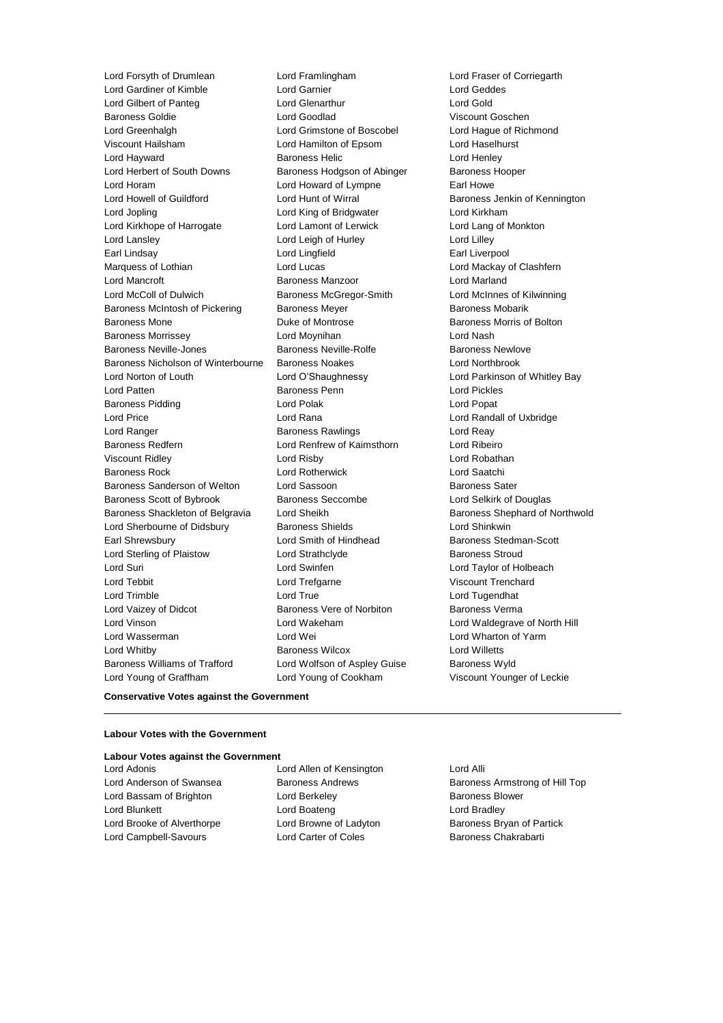Lord Forsyth of Drumlean Lord Framlingham Lord Fraser of Corriegarth Lord Gardiner of Kimble<br>
Lord Gilbert of Panteg<br>
Lord Glenarthur Lord Gilbert of Panteg Lord Glenarthur Lord Gold Baroness Goldie Lord Goodlad Viscount Goschen Lord Greenhalgh Lord Grimstone of Boscobel Lord Hague of Richmond Viscount Hailsham Lord Hamilton of Epsom Lord Haselhurst **Lord Hayward Communist Communist Baroness Helic Communist Communist Communist Communist Communist Communist Co** Lord Herbert of South Downs Baroness Hodgson of Abinger Baroness Hooper Lord Horam Lord Howard of Lympne Earl Howe Lord Howell of Guildford **Lord Hunt of Wirral** Baroness Jenkin of Kennington Lord Jopling Lord King of Bridgwater Lord Kirkham Lord Kirkhope of Harrogate Lord Lamont of Lerwick Lord Lang of Monkton Lord Lansley Lord Leigh of Hurley Lord Lilley Marquess of Lothian **Lord Lord Lucas** Lord Lucas **Lord Mackay of Clashfern** Lord Mancroft **Baroness Manzoor** Baroness Manzoor **Lord Marland** Lord McColl of Dulwich Baroness McGregor-Smith Lord McInnes of Kilwinning Baroness McIntosh of Pickering Baroness Meyer Baroness Mobarik Baroness Mone **Duke of Montrose Baroness Morris of Bolton** Baroness Morrissey Lord Moynihan Lord Nash Baroness Neville-Jones Baroness Neville-Rolfe Baroness Newlove Baroness Nicholson of Winterbourne Baroness Noakes Lord Northbrook Lord Norton of Louth Lord O'Shaughnessy Lord Parkinson of Whitley Bay Lord Patten Baroness Penn Lord Pickles Baroness Pidding **Communist Construction** Lord Polak **Lord Popat** Lord Popat Lord Price Lord Rana Lord Randall of Uxbridge Lord Ranger **Baroness Rawlings** Lord Reay<br>
Baroness Redfern **Baroness Rames Lord Reast Corporation** Lord Ribeiro Baroness Redfern **Lord Renfrew of Kaimsthorn** Viscount Ridley Lord Risby Lord Robathan Baroness Rock Lord Rotherwick Lord Saatchi Baroness Sanderson of Welton Lord Sassoon **Baroness Sater** Baroness Sater Baroness Scott of Bybrook Baroness Seccombe Lord Selkirk of Douglas Baroness Shackleton of Belgravia Lord Sheikh Baroness Shephard of Northwold Lord Sherbourne of Didsbury Baroness Shields Lord Shinkwin Earl Shrewsbury **Example 20** Lord Smith of Hindhead Baroness Stedman-Scott Lord Sterling of Plaistow **Lord Strathclyde** Baroness Stroud Lord Suri Lord Swinfen Lord Taylor of Holbeach Lord Tebbit **Lord Trefgarne** Construction Construction Construction Construction Construction Construction Const Lord Trimble Lord True Lord Tugendhat Lord Vaizey of Didcot **Baroness Vere of Norbiton** Baroness Verma Lord Vinson Lord Wakeham Lord Waldegrave of North Hill Lord Wasserman Lord Wei Lord Wharton of Yarm Lord Whitby Baroness Wilcox Lord Willetts Baroness Williams of Trafford Lord Wolfson of Aspley Guise Baroness Wyld Lord Young of Graffham Lord Young of Cookham Viscount Younger of Leckie

Lord Lingfield Earl Liverpool

### **Conservative Votes against the Government**

#### **Labour Votes with the Government**

#### **Labour Votes against the Government**

Lord Bassam of Brighton **Lord Berkeley Baroness Blower** Lord Blunkett Lord Boateng Lord Bradley Lord Brooke of Alverthorpe **Lord Browne of Ladyton** Baroness Bryan of Partick Lord Campbell-Savours **Lord Carter of Coles** Baroness Chakrabarti

Lord Adonis Lord Allen of Kensington Lord Alli

Lord Anderson of Swansea **Baroness Andrews** Baroness Armstrong of Hill Top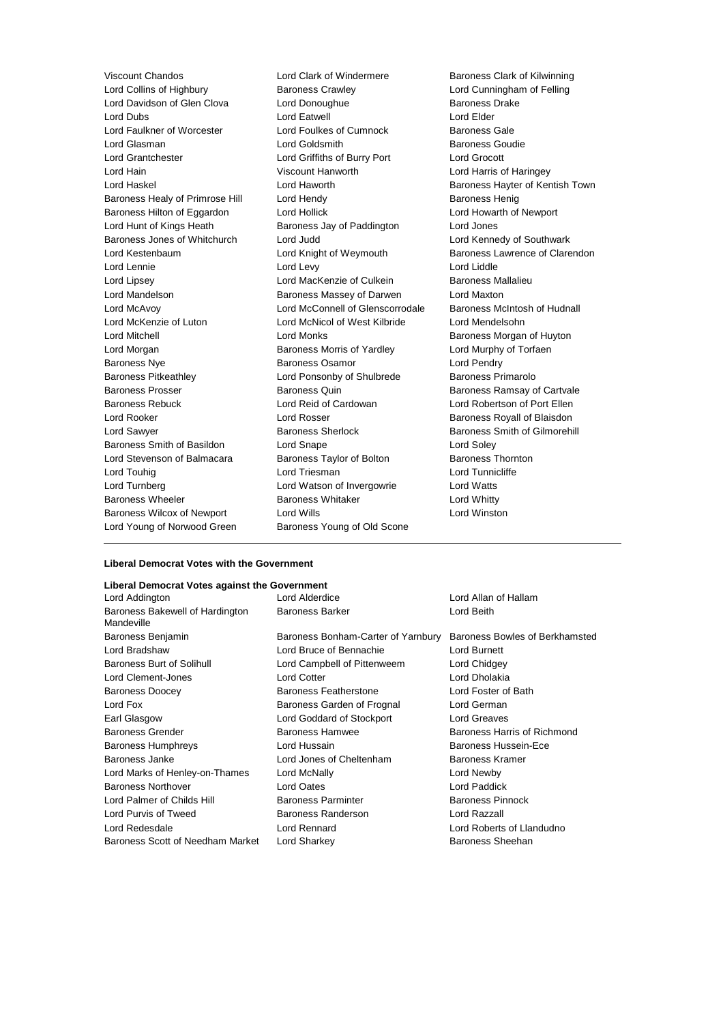Viscount Chandos **Lord Clark of Windermere** Baroness Clark of Kilwinning<br>
Lord Collins of Highbury **Baroness Crawley** Baroness Crawley Lord Cunningham of Felling Lord Davidson of Glen Clova Lord Donoughue Baroness I<br>
Lord Dubs Lord Clova Lord Fatwell Baroness Lord Elder Lord Dubs Lord Eatwell Lord Elder Lord Faulkner of Worcester Lord Foulkes of Cumnock Baroness Gale Lord Glasman **Lord Goldsmith** Baroness Goudie Lord Grantchester Lord Griffiths of Burry Port Lord Grocott Lord Hain Viscount Hanworth Lord Harris of Haringey Lord Haskel **Lord Haworth** Baroness Hayter of Kentish Town Baroness Healy of Primrose Hill Lord Hendy **Baroness Henig** Baroness Henig Baroness Hilton of Eggardon Lord Hollick Lord Howarth of Newport Lord Hunt of Kings Heath Baroness Jay of Paddington Lord Jones Baroness Jones of Whitchurch Lord Judd Lord Kennedy of Southwark Lord Kestenbaum Lord Knight of Weymouth Baroness Lawrence of Clarendon Lord Lennie Lord Levy Lord Liddle Lord Lipsey **Lord MacKenzie of Culkein** Baroness Mallalieu Lord Mandelson Baroness Massey of Darwen Lord Maxton Lord McAvoy Lord McConnell of Glenscorrodale Baroness McIntosh of Hudnall Lord McKenzie of Luton Lord McNicol of West Kilbride Lord Mendelsohn Lord Mitchell **Lord Monks** Christian Baroness Morgan of Huyton Lord Morgan **Baroness Morris of Yardley** Lord Murphy of Torfaen Baroness Nye **Baroness Osamor** Character Control Lord Pendry Baroness Pitkeathley Lord Ponsonby of Shulbrede Baroness Primarolo Baroness Prosser **Baroness Quin** Baroness Quin Baroness Ramsay of Cartvale Baroness Rebuck Lord Reid of Cardowan Lord Robertson of Port Ellen Lord Rooker **Lord Rosser** Communications Contained Baroness Royall of Blaisdon Lord Sawyer **Baroness Sherlock** Baroness Sherlock Baroness Smith of Gilmorehill<br>Baroness Smith of Basildon **Baroness Sherlock** Lord Soley Baroness Smith of Basildon Lord Snape Lord Stevenson of Balmacara Baroness Taylor of Bolton Baroness Thornton Lord Touhig Lord Triesman Lord Tunnicliffe Lord Turnberg Lord Watson of Invergowrie Lord Watts Baroness Wheeler **Baroness Whitaker Baroness Whitaker** Lord Whitty Baroness Wilcox of Newport Lord Wills Lord Winston Lord Young of Norwood Green Baroness Young of Old Scone

**Baroness Crawley Collins of Felling Lord Cunningham of Felling Corporation Collins Corporation Curaw**<br>Lord Donoughue Lord Cunningham Baroness Drake

#### **Liberal Democrat Votes with the Government**

#### **Liberal Democrat Votes against the Government**

| Lord Addington                                | Lord Alderdice                     | Lord Allan of Hallam           |
|-----------------------------------------------|------------------------------------|--------------------------------|
| Baroness Bakewell of Hardington<br>Mandeville | <b>Baroness Barker</b>             | Lord Beith                     |
| Baroness Benjamin                             | Baroness Bonham-Carter of Yarnbury | Baroness Bowles of Berkhamsted |
| Lord Bradshaw                                 | Lord Bruce of Bennachie            | Lord Burnett                   |
| <b>Baroness Burt of Solihull</b>              | Lord Campbell of Pittenweem        | Lord Chidgey                   |
| Lord Clement-Jones                            | <b>Lord Cotter</b>                 | Lord Dholakia                  |
| <b>Baroness Doocey</b>                        | <b>Baroness Featherstone</b>       | Lord Foster of Bath            |
| Lord Fox                                      | Baroness Garden of Frognal         | Lord German                    |
| Earl Glasgow                                  | Lord Goddard of Stockport          | Lord Greaves                   |
| <b>Baroness Grender</b>                       | Baroness Hamwee                    | Baroness Harris of Richmond    |
| <b>Baroness Humphreys</b>                     | Lord Hussain                       | Baroness Hussein-Ece           |
| Baroness Janke                                | Lord Jones of Cheltenham           | Baroness Kramer                |
| Lord Marks of Henley-on-Thames                | Lord McNally                       | Lord Newby                     |
| <b>Baroness Northover</b>                     | Lord Oates                         | Lord Paddick                   |
| Lord Palmer of Childs Hill                    | <b>Baroness Parminter</b>          | <b>Baroness Pinnock</b>        |
| Lord Purvis of Tweed                          | Baroness Randerson                 | Lord Razzall                   |
| Lord Redesdale                                | Lord Rennard                       | Lord Roberts of Llandudno      |
| Baroness Scott of Needham Market              | Lord Sharkey                       | Baroness Sheehan               |
|                                               |                                    |                                |